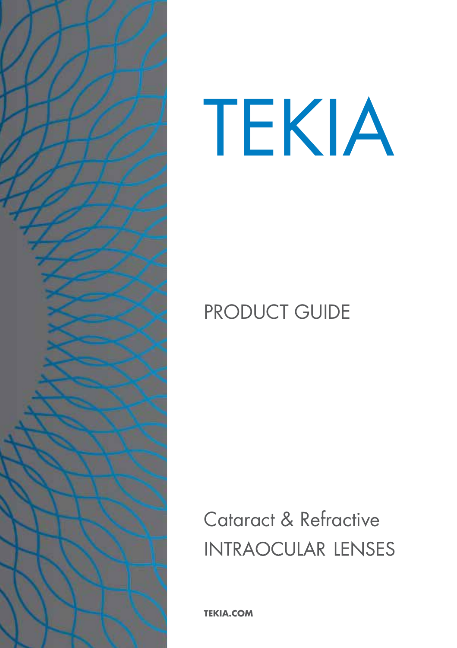

# TEKIA

# PRODUCT GUIDE

Cataract & Refractive**INTRAOCULAR LENSES** 

**TEKIA.COM**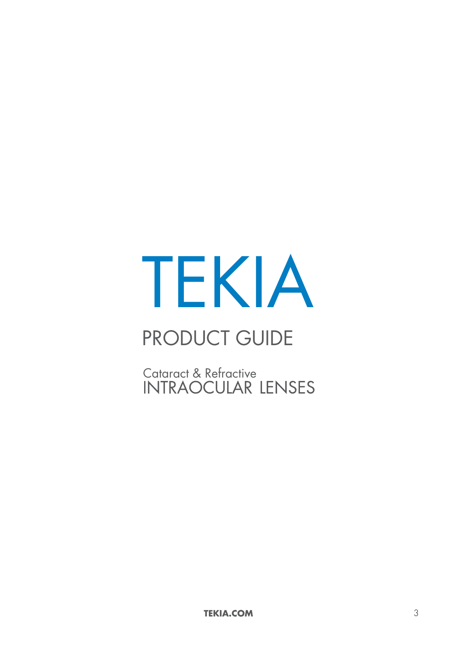# TEKIA

# PRODUCT GUIDE

Cataract & Refractive<br>INTRAOCULAR LENSES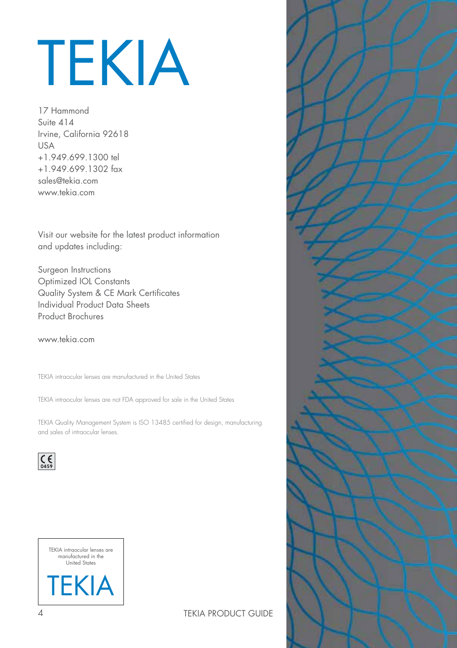# TEKIA

17 Hammond Suite 414 Irvine, California 92618 USA +1.949.699.1300 tel +1.949.699.1302 fax sales@tekia.com www.tekia.com

Visit our website for the latest product information and updates including:

Surgeon Instructions Optimized IOL Constants Quality System & CE Mark Certificates Individual Product Data Sheets Product Brochures

www.tekia.com

TEKIA intraocular lenses are manufactured in the United States

TEKIA intraocular lenses are not FDA approved for sale in the United States

TEKIA Quality Management System is ISO 13485 certified for design, manufacturing and sales of intraocular lenses.





4 TEKIA PRODUCT GUIDE

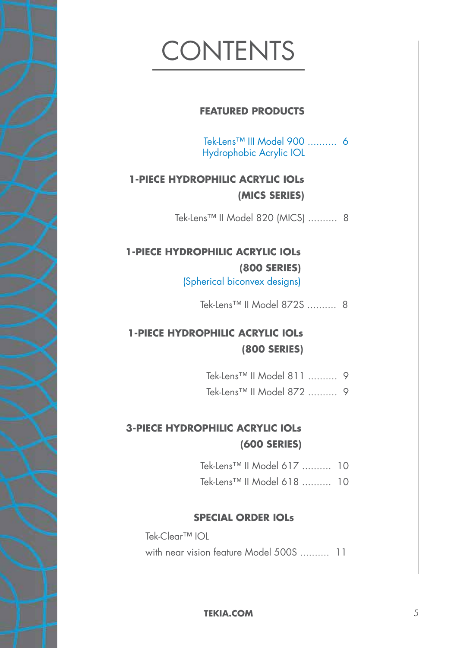# CONTENTS

#### **FEATURED PRODUCTS**

Tek-Lens™ III Model 900 .......... 6 Hydrophobic Acrylic IOL

#### **1-PIECE HYDROPHILIC ACRYLIC IOLs (MICS SERIES)**

Tek-Lens™ II Model 820 (MICS) .......... 8

## **1-PIECE HYDROPHILIC ACRYLIC IOLs (800 SERIES)**

(Spherical biconvex designs)

Tek-Lens™ II Model 872S .......... 8

### **1-PIECE HYDROPHILIC ACRYLIC IOLs (800 SERIES)**

- Tek-Lens™ II Model 811 .......... 9
- Tek-Lens™ II Model 872 .......... 9

### **3-PIECE HYDROPHILIC ACRYLIC IOLs (600 SERIES)**

- Tek-Lens™ II Model 617 .......... 10
- Tek-Lens™ II Model 618 .......... 10

#### **SPECIAL ORDER IOLs**

Tek-Clear™ IOL with near vision feature Model 500S .......... 11

**TEKIA.COM** 5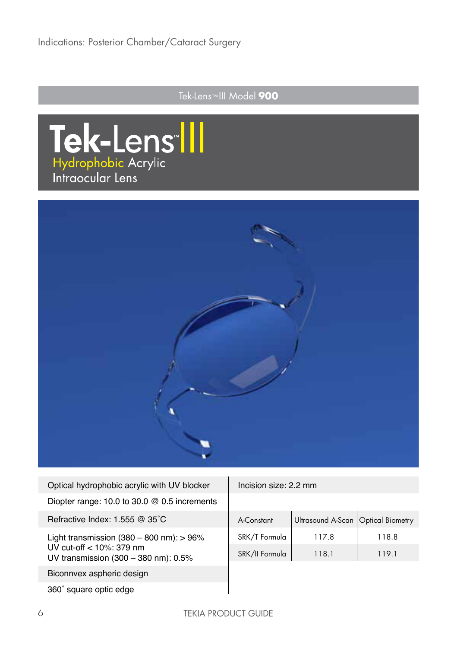### Tek-Lens™ III Model **900**





| Optical hydrophobic acrylic with UV blocker                        | Inci:  |
|--------------------------------------------------------------------|--------|
| Diopter range: $10.0$ to $30.0 \& 0.5$ increments                  |        |
| Refractive Index: $1.555 \ @ \ 35^{\circ}$ C                       | $A-Cc$ |
| Light transmission $(380 - 800 \text{ nm})$ : > 96%                | SRK.   |
| UV cut-off $<$ 10%: 379 nm<br>UV transmission (300 - 380 nm): 0.5% | SRK.   |
| Biconnvex aspheric design                                          |        |
| 360° square optic edge                                             |        |

sion size: 2.2 mm

| A-Constant     | Ultrasound A-Scan Optical Biometry |      |
|----------------|------------------------------------|------|
| SRK/T Formula  | 1178                               | 1188 |
| SRK/II Formula | 118.1                              | 1191 |

360˚ square optic edge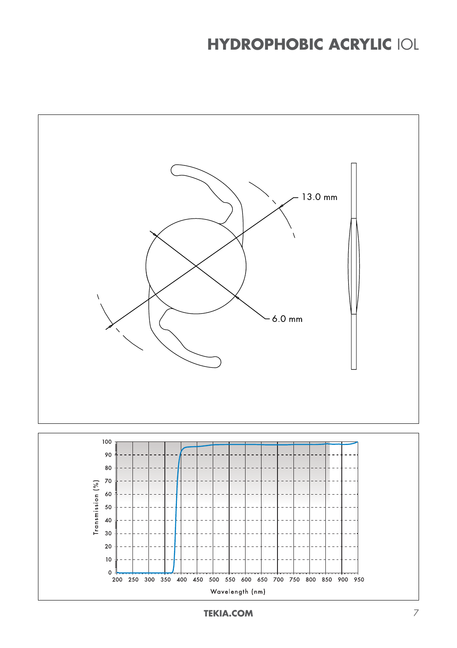## **HYDROPHOBIC ACRYLIC** IOL

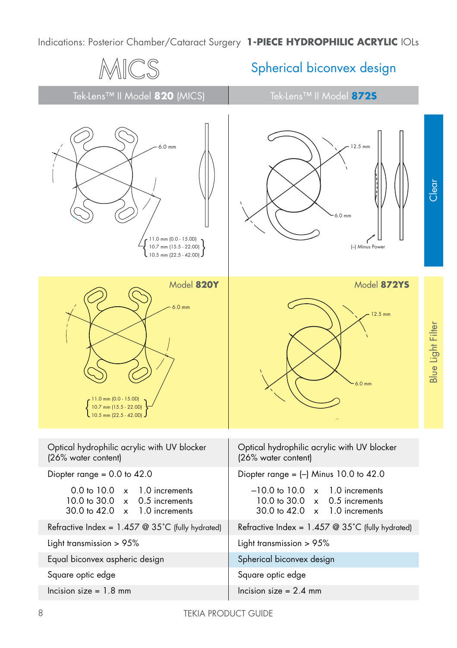Indications: Posterior Chamber/Cataract Surgery **1-PIECE HYDROPHILIC ACRYLIC** IOLs

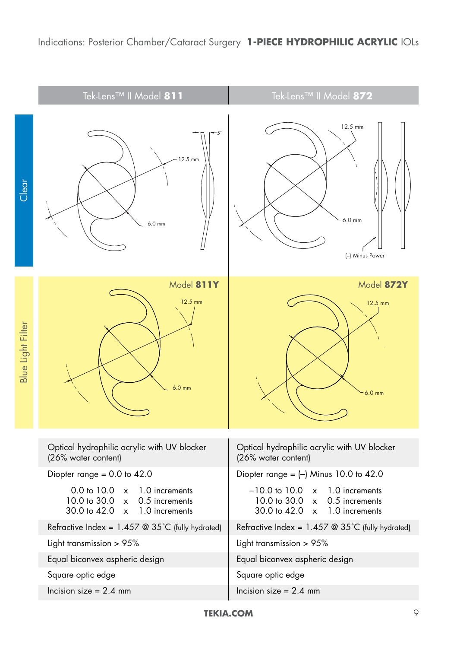|                   | Tek-Lens™ II Model 811                                                                                                                                         | Tek-Lens™ II Model 872                                                                                                                                  |
|-------------------|----------------------------------------------------------------------------------------------------------------------------------------------------------------|---------------------------------------------------------------------------------------------------------------------------------------------------------|
| Clear             | $12.5 \text{ mm}$<br>$6.0$ mm                                                                                                                                  | 12.5 mm<br>6.0 mm<br>(-) Minus Power                                                                                                                    |
| Blue Light Filter | Model 811Y<br>12.5 mm<br>$6.0$ mm                                                                                                                              | Model 872Y<br>12.5 mm<br>$6.0$ mm                                                                                                                       |
|                   | Optical hydrophilic acrylic with UV blocker<br>(26% water content)                                                                                             | Optical hydrophilic acrylic with UV blocker<br>(26% water content)                                                                                      |
|                   | Diopter range = $0.0$ to $42.0$                                                                                                                                | Diopter range = $(-)$ Minus 10.0 to 42.0                                                                                                                |
|                   | 0.0 to 10.0<br>1.0 increments<br>$\pmb{\times}$<br>10.0 to 30.0<br>0.5 increments<br>$\overline{\mathsf{x}}$<br>30.0 to 42.0<br>1.0 increments<br>$\mathsf{x}$ | $-10.0$ to $10.0$<br>1.0 increments<br>$\mathsf{x}$<br>10.0 to 30.0<br>0.5 increments<br>$\mathsf{x}$<br>30.0 to 42.0<br>1.0 increments<br>$\mathsf{x}$ |
|                   | Refractive Index = 1.457 @ 35°C (fully hydrated)                                                                                                               | Refractive Index = $1.457$ @ 35°C (fully hydrated)                                                                                                      |
|                   | Light transmission > 95%                                                                                                                                       | Light transmission > 95%                                                                                                                                |
|                   | Equal biconvex aspheric design                                                                                                                                 | Equal biconvex aspheric design                                                                                                                          |
|                   | Square optic edge                                                                                                                                              | Square optic edge                                                                                                                                       |
|                   | Incision size = $2.4$ mm                                                                                                                                       | Incision size $= 2.4$ mm                                                                                                                                |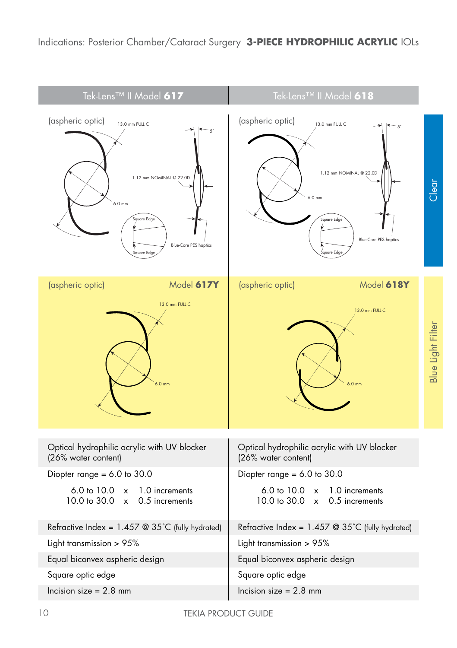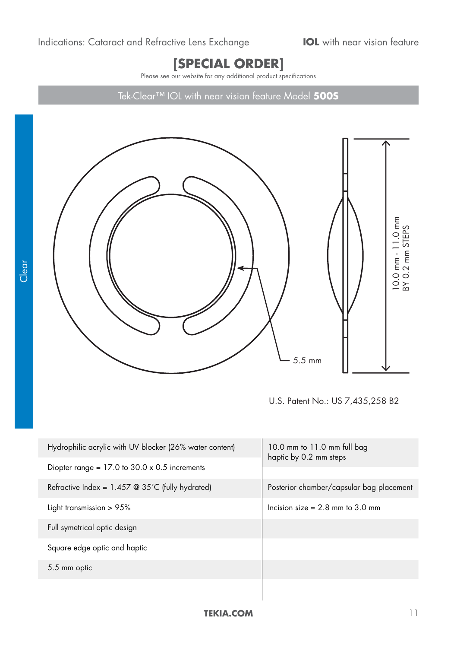## **[SPECIAL ORDER]**

Please see our website for any additional product specifications

Tek-Clear™ IOL with near vision feature Model **500S**



U.S. Patent No.: US 7,435,258 B2

| Hydrophilic acrylic with UV blocker (26% water content) | 10.0 mm to $11.0$ mm full bag<br>haptic by 0.2 mm steps |  |
|---------------------------------------------------------|---------------------------------------------------------|--|
| Diopter range = $17.0$ to $30.0 \times 0.5$ increments  |                                                         |  |
| Refractive Index = $1.457$ @ 35°C (fully hydrated)      | Posterior chamber/capsular bag placement                |  |
| Light transmission $> 95\%$                             | Incision size $= 2.8$ mm to 3.0 mm                      |  |
| Full symetrical optic design                            |                                                         |  |
| Square edge optic and haptic                            |                                                         |  |
| 5.5 mm optic                                            |                                                         |  |